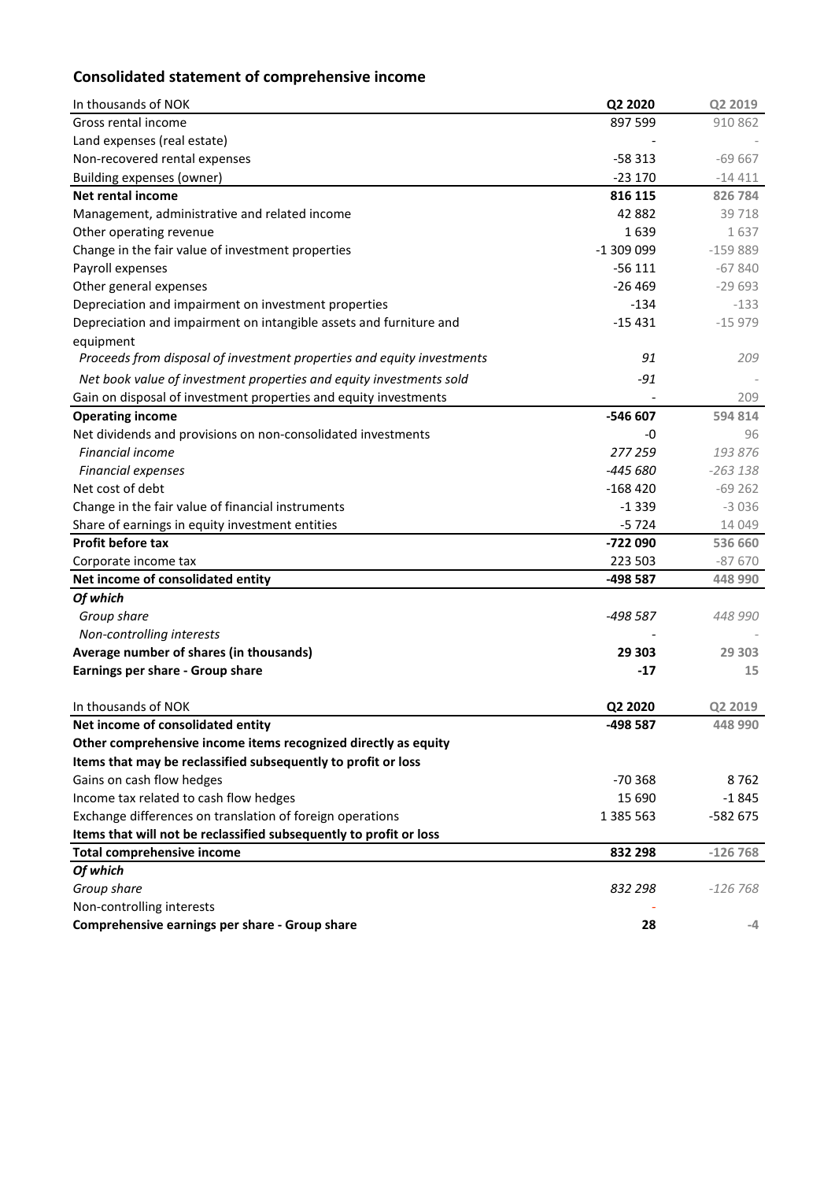# **Consolidated statement of comprehensive income**

| In thousands of NOK                                                    | Q2 2020    | Q2 2019   |
|------------------------------------------------------------------------|------------|-----------|
| Gross rental income                                                    | 897 599    | 910 862   |
| Land expenses (real estate)                                            |            |           |
| Non-recovered rental expenses                                          | $-58313$   | $-69667$  |
| Building expenses (owner)                                              | $-23170$   | $-14411$  |
| <b>Net rental income</b>                                               | 816 115    | 826 784   |
| Management, administrative and related income                          | 42 882     | 39718     |
| Other operating revenue                                                | 1639       | 1637      |
| Change in the fair value of investment properties                      | -1 309 099 | $-159889$ |
| Payroll expenses                                                       | $-56111$   | $-67840$  |
| Other general expenses                                                 | $-26469$   | $-29693$  |
| Depreciation and impairment on investment properties                   | $-134$     | $-133$    |
| Depreciation and impairment on intangible assets and furniture and     | $-15431$   | $-15979$  |
| equipment                                                              |            |           |
| Proceeds from disposal of investment properties and equity investments | 91         | 209       |
| Net book value of investment properties and equity investments sold    | $-91$      |           |
| Gain on disposal of investment properties and equity investments       |            | 209       |
| <b>Operating income</b>                                                | -546 607   | 594 814   |
| Net dividends and provisions on non-consolidated investments           | -0         | 96        |
| <b>Financial income</b>                                                | 277 259    | 193876    |
| <b>Financial expenses</b>                                              | -445 680   | $-263138$ |
| Net cost of debt                                                       | $-168420$  | $-69262$  |
| Change in the fair value of financial instruments                      | $-1339$    | $-3036$   |
| Share of earnings in equity investment entities                        | $-5724$    | 14 049    |
| <b>Profit before tax</b>                                               | -722 090   | 536 660   |
| Corporate income tax                                                   | 223 503    | $-87670$  |
| Net income of consolidated entity                                      | -498 587   | 448 990   |
| Of which                                                               |            |           |
| Group share                                                            | -498 587   | 448 990   |
| Non-controlling interests                                              |            |           |
| Average number of shares (in thousands)                                | 29 303     | 29 303    |
| Earnings per share - Group share                                       | $-17$      | 15        |
|                                                                        |            |           |
| In thousands of NOK                                                    | Q2 2020    | Q2 2019   |
| Net income of consolidated entity                                      | -498 587   | 448 990   |
| Other comprehensive income items recognized directly as equity         |            |           |
| Items that may be reclassified subsequently to profit or loss          |            |           |
| Gains on cash flow hedges                                              | $-70368$   | 8762      |
| Income tax related to cash flow hedges                                 | 15 690     | $-1845$   |
| Exchange differences on translation of foreign operations              | 1 385 563  | -582 675  |
| Items that will not be reclassified subsequently to profit or loss     |            |           |
| <b>Total comprehensive income</b>                                      | 832 298    | $-126768$ |
| Of which                                                               |            |           |
| Group share                                                            | 832 298    | $-126768$ |
| Non-controlling interests                                              |            |           |
| Comprehensive earnings per share - Group share                         | 28         | -4        |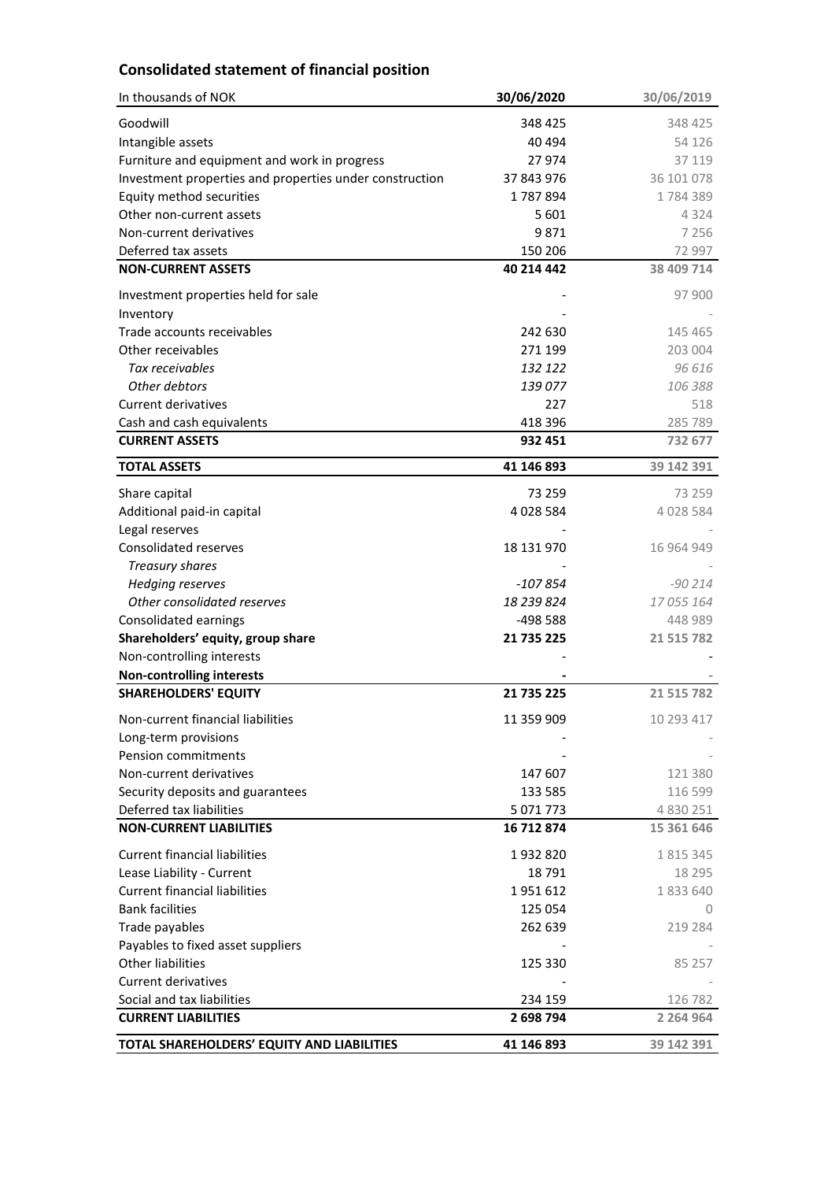## **Consolidated statement of financial position**

| In thousands of NOK                                     | 30/06/2020  | 30/06/2019    |
|---------------------------------------------------------|-------------|---------------|
| Goodwill                                                | 348 425     | 348 425       |
| Intangible assets                                       | 40 494      | 54 126        |
| Furniture and equipment and work in progress            | 27 974      | 37 119        |
| Investment properties and properties under construction | 37 843 976  | 36 101 078    |
| Equity method securities                                | 1787894     | 1784389       |
| Other non-current assets                                | 5 601       | 4 3 2 4       |
| Non-current derivatives                                 | 9871        | 7 2 5 6       |
| Deferred tax assets                                     | 150 206     | 72 997        |
| <b>NON-CURRENT ASSETS</b>                               | 40 214 442  | 38 409 714    |
| Investment properties held for sale                     |             | 97 900        |
| Inventory                                               |             |               |
| Trade accounts receivables                              | 242 630     | 145 465       |
| Other receivables                                       | 271 199     | 203 004       |
| Tax receivables                                         | 132 122     | 96 616        |
| Other debtors                                           | 139 077     | 106 388       |
| <b>Current derivatives</b>                              | 227         | 518           |
| Cash and cash equivalents                               | 418 396     | 285 789       |
| <b>CURRENT ASSETS</b>                                   | 932 451     | 732 677       |
| <b>TOTAL ASSETS</b>                                     | 41 146 893  | 39 142 391    |
| Share capital                                           | 73 259      | 73 259        |
| Additional paid-in capital                              | 4 0 28 5 84 | 4 0 28 5 84   |
| Legal reserves                                          |             |               |
| Consolidated reserves                                   | 18 131 970  | 16 964 949    |
| <b>Treasury shares</b>                                  |             |               |
| <b>Hedging reserves</b>                                 | $-107854$   | $-90214$      |
| Other consolidated reserves                             | 18 239 824  | 17 055 164    |
| Consolidated earnings                                   | -498 588    | 448 989       |
| Shareholders' equity, group share                       | 21 735 225  | 21 515 782    |
| Non-controlling interests                               |             |               |
| <b>Non-controlling interests</b>                        |             |               |
| <b>SHAREHOLDERS' EQUITY</b>                             | 21 735 225  | 21 515 782    |
| Non-current financial liabilities                       | 11 359 909  | 10 293 417    |
| Long-term provisions                                    |             |               |
| Pension commitments                                     |             |               |
| Non-current derivatives                                 | 147 607     | 121 380       |
| Security deposits and guarantees                        | 133 585     | 116 599       |
| Deferred tax liabilities                                | 5 071 773   | 4 8 3 0 2 5 1 |
| <b>NON-CURRENT LIABILITIES</b>                          | 16 712 874  | 15 361 646    |
| <b>Current financial liabilities</b>                    | 1932820     | 1 8 1 5 3 4 5 |
| Lease Liability - Current                               | 18791       | 18 295        |
| <b>Current financial liabilities</b>                    | 1951612     | 1833640       |
| <b>Bank facilities</b>                                  | 125 054     | 0             |
| Trade payables                                          | 262 639     | 219 284       |
| Payables to fixed asset suppliers                       |             |               |
| <b>Other liabilities</b>                                | 125 330     | 85 257        |
| <b>Current derivatives</b>                              |             |               |
| Social and tax liabilities                              | 234 159     | 126 782       |
| <b>CURRENT LIABILITIES</b>                              | 2 698 794   | 2 2 6 4 9 6 4 |
| TOTAL SHAREHOLDERS' EQUITY AND LIABILITIES              | 41 146 893  | 39 142 391    |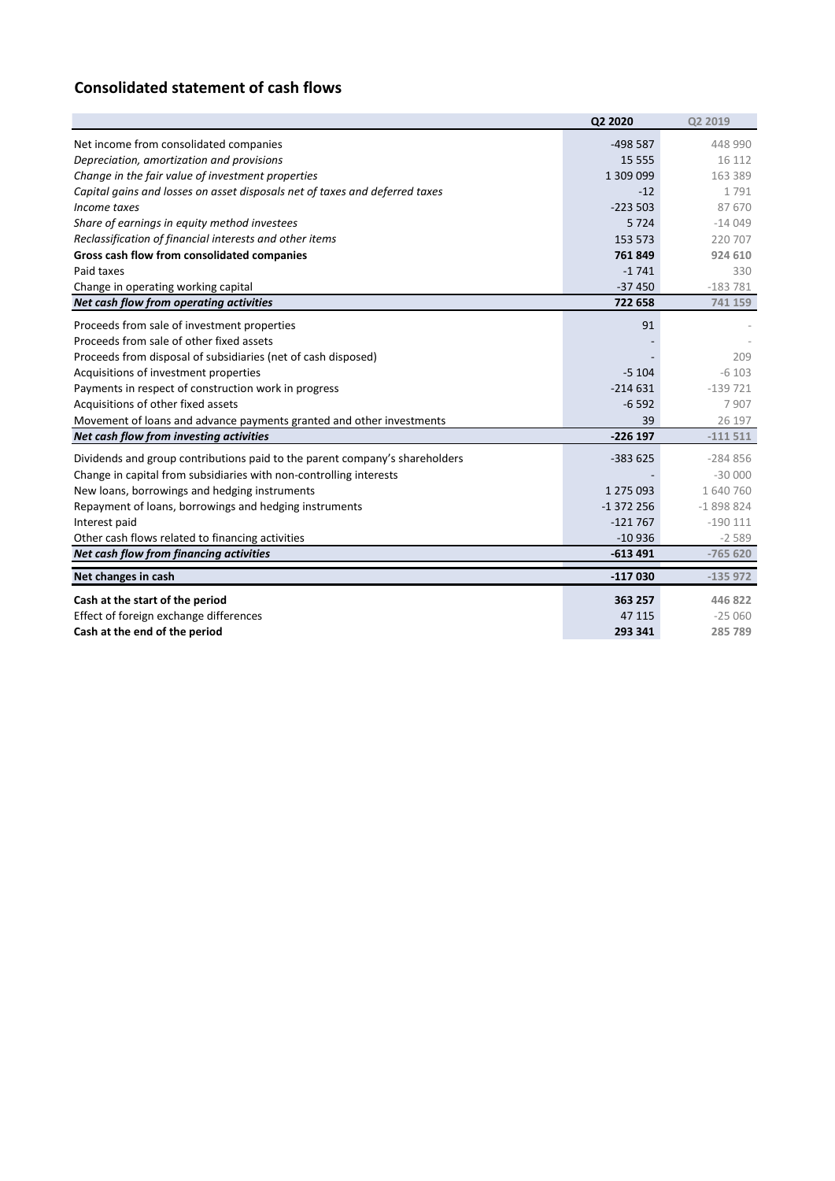## **Consolidated statement of cash flows**

|                                                                             | Q2 2020    | Q2 2019    |
|-----------------------------------------------------------------------------|------------|------------|
| Net income from consolidated companies                                      | $-498587$  | 448 990    |
| Depreciation, amortization and provisions                                   | 15 5 5 5   | 16 112     |
| Change in the fair value of investment properties                           | 1 309 099  | 163 389    |
| Capital gains and losses on asset disposals net of taxes and deferred taxes | $-12$      | 1791       |
| Income taxes                                                                | $-223503$  | 87 670     |
| Share of earnings in equity method investees                                | 5724       | $-14049$   |
| Reclassification of financial interests and other items                     | 153 573    | 220 707    |
| Gross cash flow from consolidated companies                                 | 761849     | 924 610    |
| Paid taxes                                                                  | $-1741$    | 330        |
| Change in operating working capital                                         | $-37450$   | $-183781$  |
| Net cash flow from operating activities                                     | 722 658    | 741 159    |
| Proceeds from sale of investment properties                                 | 91         |            |
| Proceeds from sale of other fixed assets                                    |            |            |
| Proceeds from disposal of subsidiaries (net of cash disposed)               |            | 209        |
| Acquisitions of investment properties                                       | $-5104$    | $-6103$    |
| Payments in respect of construction work in progress                        | $-214631$  | $-139721$  |
| Acquisitions of other fixed assets                                          | $-6592$    | 7907       |
| Movement of loans and advance payments granted and other investments        | 39         | 26 197     |
| Net cash flow from investing activities                                     | $-226$ 197 | $-111511$  |
| Dividends and group contributions paid to the parent company's shareholders | $-383625$  | $-284856$  |
| Change in capital from subsidiaries with non-controlling interests          |            | $-30000$   |
| New loans, borrowings and hedging instruments                               | 1 275 093  | 1 640 760  |
| Repayment of loans, borrowings and hedging instruments                      | $-1372256$ | $-1898824$ |
| Interest paid                                                               | $-121767$  | $-190111$  |
| Other cash flows related to financing activities                            | $-10936$   | $-2589$    |
| Net cash flow from financing activities                                     | $-613491$  | $-765620$  |
| Net changes in cash                                                         | $-117030$  | $-135972$  |
| Cash at the start of the period                                             | 363 257    | 446 822    |
| Effect of foreign exchange differences                                      | 47 115     | $-25060$   |
| Cash at the end of the period                                               | 293 341    | 285 789    |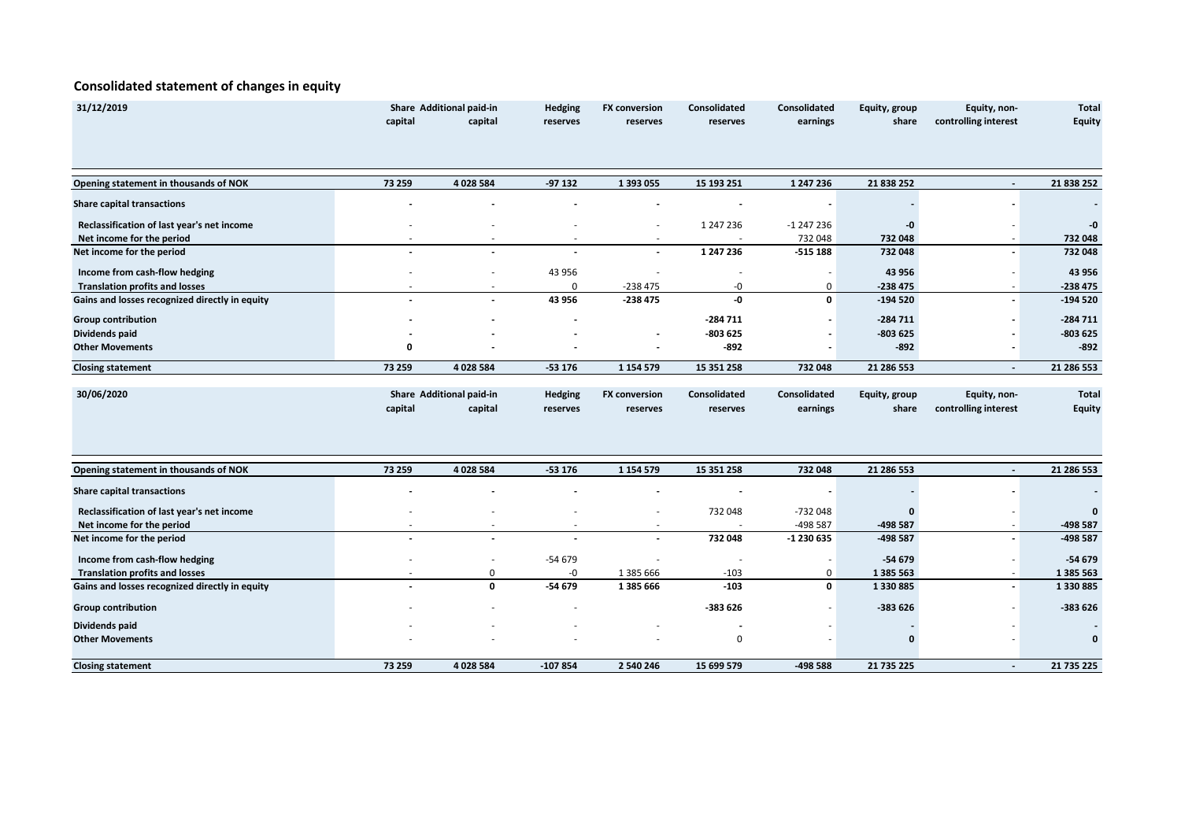### **Consolidated statement of changes in equity**

| 31/12/2019                                     | Share Additional paid-in |                          | Hedging                  | <b>FX conversion</b>     | Consolidated             | Consolidated | Equity, group | Equity, non-             | <b>Total</b> |
|------------------------------------------------|--------------------------|--------------------------|--------------------------|--------------------------|--------------------------|--------------|---------------|--------------------------|--------------|
|                                                | capital                  | capital                  | reserves                 | reserves                 | reserves                 | earnings     | share         | controlling interest     | Equity       |
|                                                |                          |                          |                          |                          |                          |              |               |                          |              |
| Opening statement in thousands of NOK          | 73 259                   | 4 0 28 5 84              | $-97132$                 | 1 393 055                | 15 193 251               | 1 247 236    | 21 838 252    | $\blacksquare$           | 21 838 252   |
| <b>Share capital transactions</b>              |                          |                          |                          |                          |                          |              |               |                          |              |
| Reclassification of last year's net income     |                          |                          |                          |                          | 1 247 236                | $-1247236$   | -0            |                          | -0           |
| Net income for the period                      |                          |                          |                          |                          |                          | 732 048      | 732 048       | $\overline{\phantom{a}}$ | 732 048      |
| Net income for the period                      |                          |                          |                          | $\overline{\phantom{a}}$ | 1 247 236                | $-515188$    | 732 048       |                          | 732 048      |
| Income from cash-flow hedging                  |                          |                          | 43 956                   |                          | $\overline{\phantom{a}}$ | $\sim$       | 43 956        |                          | 43 956       |
| <b>Translation profits and losses</b>          |                          |                          | 0                        | $-238475$                | -0                       | 0            | $-238475$     |                          | $-238475$    |
| Gains and losses recognized directly in equity |                          |                          | 43 956                   | $-238475$                | -0                       | $\mathbf{0}$ | $-194520$     |                          | $-194520$    |
| <b>Group contribution</b>                      |                          |                          |                          |                          | $-284711$                |              | $-284711$     |                          | $-284711$    |
| Dividends paid                                 |                          |                          |                          |                          | $-803625$                |              | $-803625$     |                          | -803 625     |
| <b>Other Movements</b>                         | 0                        |                          |                          |                          | $-892$                   |              | $-892$        |                          | $-892$       |
| <b>Closing statement</b>                       | 73 259                   | 4 028 584                | $-53176$                 | 1 1 5 4 5 7 9            | 15 351 258               | 732 048      | 21 286 553    | $\overline{\phantom{a}}$ | 21 286 553   |
|                                                |                          |                          |                          |                          |                          |              |               |                          |              |
| 30/06/2020                                     |                          | Share Additional paid-in | Hedging                  | <b>FX conversion</b>     | Consolidated             | Consolidated | Equity, group | Equity, non-             | <b>Total</b> |
|                                                | capital                  | capital                  | reserves                 | reserves                 | reserves                 | earnings     | share         | controlling interest     | Equity       |
| Opening statement in thousands of NOK          | 73 259                   | 4 0 28 5 84              | $-53176$                 | 1 1 5 4 5 7 9            | 15 351 258               | 732 048      | 21 286 553    | $\overline{\phantom{a}}$ | 21 286 553   |
| <b>Share capital transactions</b>              |                          |                          |                          |                          |                          |              |               |                          |              |
|                                                |                          |                          |                          |                          |                          |              |               |                          |              |
| Reclassification of last year's net income     |                          |                          |                          |                          | 732 048                  | -732 048     | ი             |                          | $\Omega$     |
| Net income for the period                      |                          |                          | $\overline{\phantom{a}}$ | $\sim$                   | $\overline{\phantom{a}}$ | -498 587     | -498 587      | $\sim$                   | -498 587     |
| Net income for the period                      |                          |                          |                          |                          | 732 048                  | -1 230 635   | -498 587      |                          | -498 587     |
| Income from cash-flow hedging                  |                          |                          | $-54679$                 |                          |                          |              | -54 679       |                          | $-54679$     |
| <b>Translation profits and losses</b>          |                          | 0                        | -0                       | 1 385 666                | $-103$                   | 0            | 1 385 563     |                          | 1 385 563    |
| Gains and losses recognized directly in equity |                          | 0                        | $-54679$                 | 1 385 666                | $-103$                   | $\mathbf{0}$ | 1330885       | $\overline{\phantom{a}}$ | 1330885      |
| <b>Group contribution</b>                      |                          |                          |                          |                          | -383 626                 |              | $-383626$     |                          | -383 626     |
| Dividends paid                                 |                          |                          |                          |                          | $\overline{\phantom{a}}$ |              |               |                          |              |
| <b>Other Movements</b>                         |                          |                          |                          |                          | 0                        |              | $\mathbf 0$   |                          |              |
| <b>Closing statement</b>                       | 73 259                   | 4 0 28 5 84              | $-107854$                | 2 540 246                | 15 699 579               | -498 588     | 21 735 225    | $\sim$                   | 21 735 225   |
|                                                |                          |                          |                          |                          |                          |              |               |                          |              |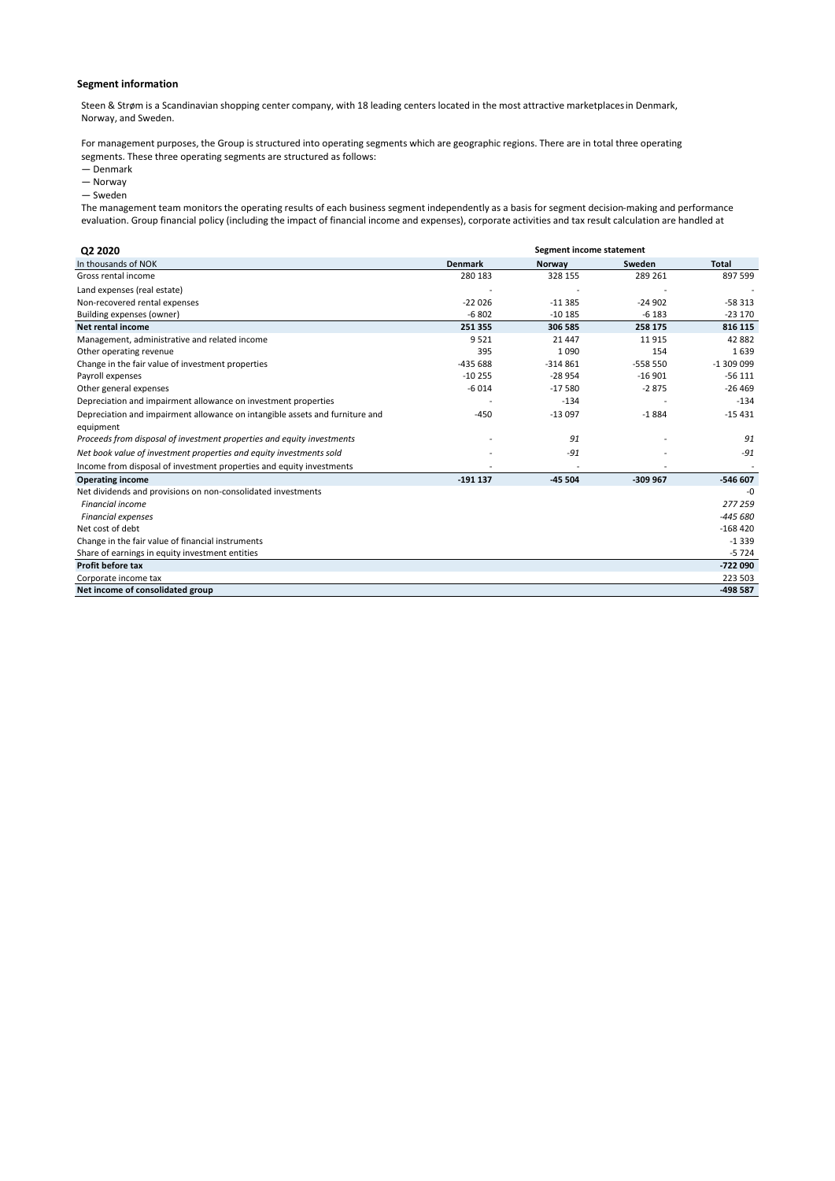#### **Segment information**

Steen & Strøm is a Scandinavian shopping center company, with 18 leading centers located in the most attractive marketplaces in Denmark, Norway, and Sweden.

For management purposes, the Group is structured into operating segments which are geographic regions. There are in total three operating segments. These three operating segments are structured as follows:

- Denmark
- Norway

— Sweden

The management team monitors the operating results of each business segment independently as a basis for segment decision-making and performance evaluation. Group financial policy (including the impact of financial income and expenses), corporate activities and tax result calculation are handled at

| Q2 2020                                                                      | Segment income statement |           |           |              |
|------------------------------------------------------------------------------|--------------------------|-----------|-----------|--------------|
| In thousands of NOK                                                          | <b>Denmark</b>           | Norway    | Sweden    | <b>Total</b> |
| Gross rental income                                                          | 280 183                  | 328 155   | 289 261   | 897 599      |
| Land expenses (real estate)                                                  |                          |           |           |              |
| Non-recovered rental expenses                                                | $-22026$                 | $-11.385$ | $-24902$  | $-58313$     |
| Building expenses (owner)                                                    | $-6802$                  | $-10185$  | $-6183$   | $-23170$     |
| Net rental income                                                            | 251 355                  | 306 585   | 258 175   | 816 115      |
| Management, administrative and related income                                | 9521                     | 21 4 4 7  | 11915     | 42 882       |
| Other operating revenue                                                      | 395                      | 1090      | 154       | 1639         |
| Change in the fair value of investment properties                            | $-435688$                | $-314861$ | $-558550$ | $-1309099$   |
| Payroll expenses                                                             | $-10255$                 | $-28954$  | $-16901$  | $-56111$     |
| Other general expenses                                                       | $-6014$                  | $-17580$  | $-2875$   | $-26469$     |
| Depreciation and impairment allowance on investment properties               |                          | $-134$    |           | $-134$       |
| Depreciation and impairment allowance on intangible assets and furniture and | $-450$                   | $-13097$  | $-1884$   | $-15431$     |
| equipment                                                                    |                          |           |           |              |
| Proceeds from disposal of investment properties and equity investments       |                          | 91        |           | 91           |
| Net book value of investment properties and equity investments sold          |                          | $-91$     |           | $-91$        |
| Income from disposal of investment properties and equity investments         |                          |           |           |              |
| <b>Operating income</b>                                                      | $-191137$                | $-45504$  | $-309967$ | $-546607$    |
| Net dividends and provisions on non-consolidated investments                 |                          |           |           | $-0$         |
| <b>Financial income</b>                                                      |                          |           |           | 277 259      |
| <b>Financial expenses</b>                                                    |                          |           |           | $-445680$    |
| Net cost of debt                                                             |                          |           |           | $-168420$    |
| Change in the fair value of financial instruments                            |                          |           |           | $-1339$      |
| Share of earnings in equity investment entities                              |                          |           |           | $-5724$      |
| Profit before tax                                                            |                          |           |           | $-722090$    |
| Corporate income tax                                                         |                          |           |           | 223 503      |
| Net income of consolidated group                                             |                          |           |           | $-498587$    |